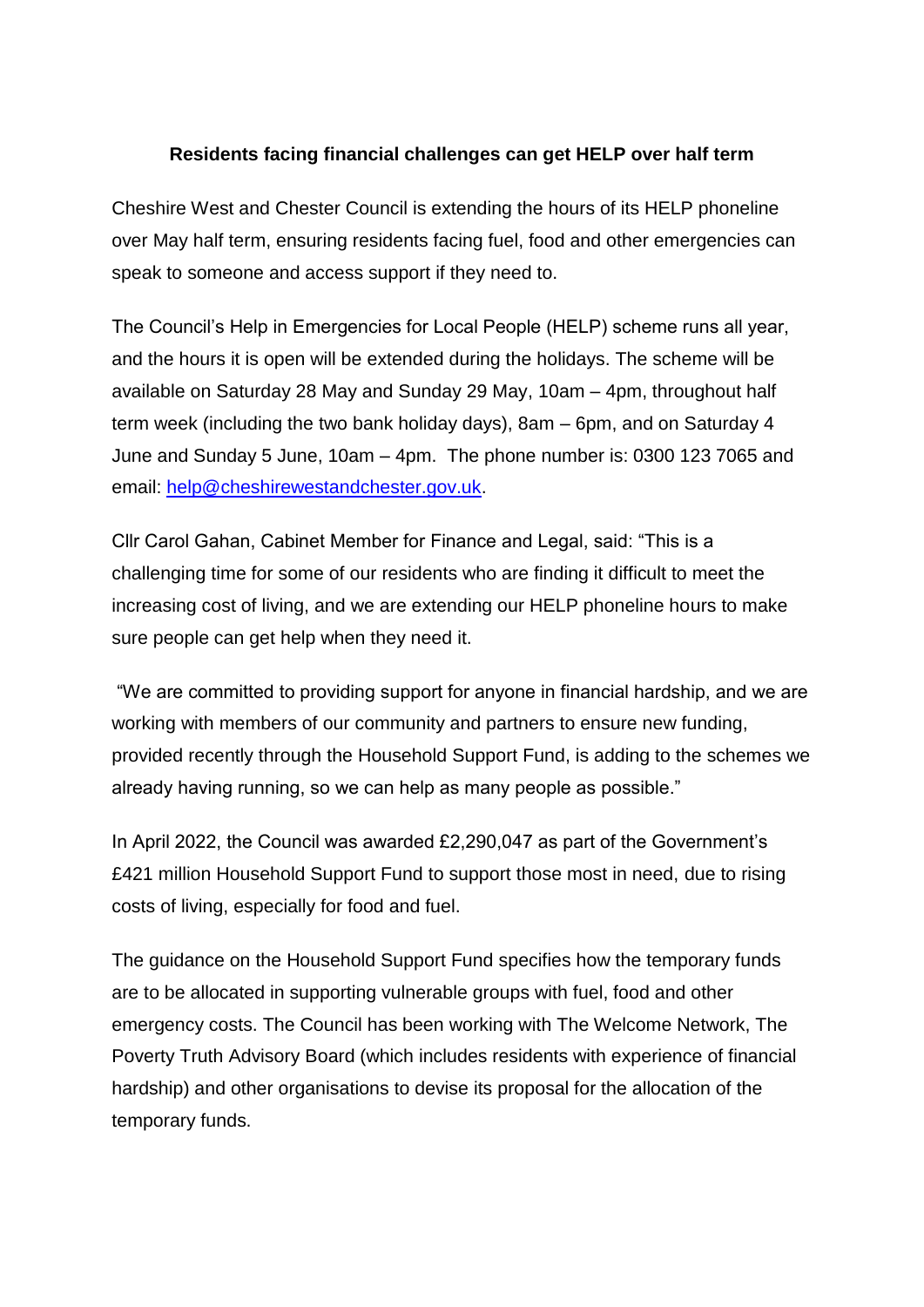## **Residents facing financial challenges can get HELP over half term**

Cheshire West and Chester Council is extending the hours of its HELP phoneline over May half term, ensuring residents facing fuel, food and other emergencies can speak to someone and access support if they need to.

The Council's Help in Emergencies for Local People (HELP) scheme runs all year, and the hours it is open will be extended during the holidays. The scheme will be available on Saturday 28 May and Sunday 29 May, 10am – 4pm, throughout half term week (including the two bank holiday days), 8am – 6pm, and on Saturday 4 June and Sunday 5 June, 10am – 4pm. The phone number is: 0300 123 7065 and email: [help@cheshirewestandchester.gov.uk.](mailto:help@cheshirewestandchester.gov.uk)

Cllr Carol Gahan, Cabinet Member for Finance and Legal, said: "This is a challenging time for some of our residents who are finding it difficult to meet the increasing cost of living, and we are extending our HELP phoneline hours to make sure people can get help when they need it.

"We are committed to providing support for anyone in financial hardship, and we are working with members of our community and partners to ensure new funding, provided recently through the Household Support Fund, is adding to the schemes we already having running, so we can help as many people as possible."

In April 2022, the Council was awarded £2,290,047 as part of the Government's £421 million Household Support Fund to support those most in need, due to rising costs of living, especially for food and fuel.

The guidance on the Household Support Fund specifies how the temporary funds are to be allocated in supporting vulnerable groups with fuel, food and other emergency costs. The Council has been working with The Welcome Network, The Poverty Truth Advisory Board (which includes residents with experience of financial hardship) and other organisations to devise its proposal for the allocation of the temporary funds.